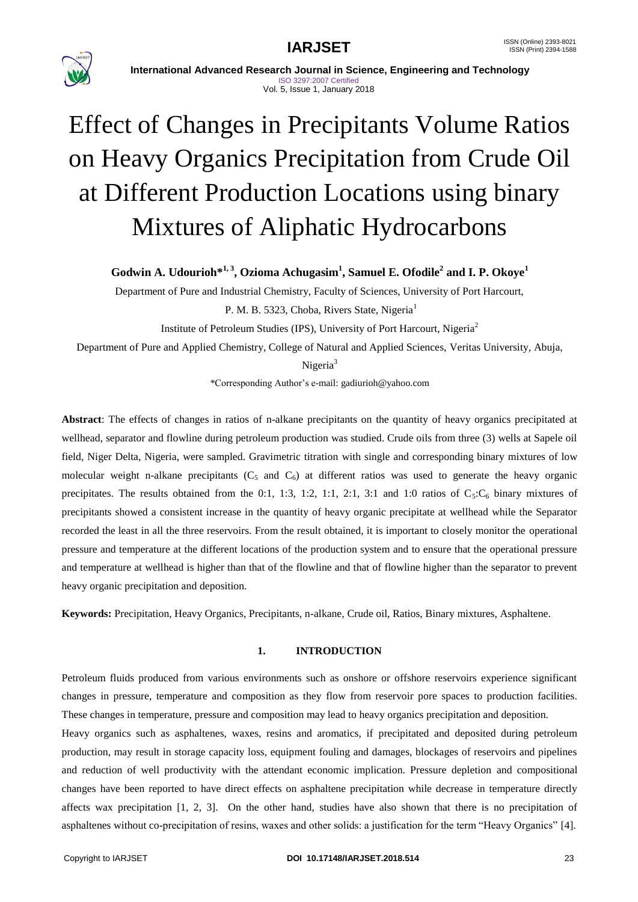

 **International Advanced Research Journal in Science, Engineering and Technology** ISO 3297:2007 Certified Vol. 5, Issue 1, January 2018

# Effect of Changes in Precipitants Volume Ratios on Heavy Organics Precipitation from Crude Oil at Different Production Locations using binary Mixtures of Aliphatic Hydrocarbons

**Godwin A. Udourioh\* 1, 3 , Ozioma Achugasim<sup>1</sup> , Samuel E. Ofodile<sup>2</sup> and I. P. Okoye<sup>1</sup>**

Department of Pure and Industrial Chemistry, Faculty of Sciences, University of Port Harcourt,

P. M. B. 5323, Choba, Rivers State, Nigeria<sup>1</sup>

Institute of Petroleum Studies (IPS), University of Port Harcourt, Nigeria<sup>2</sup>

Department of Pure and Applied Chemistry, College of Natural and Applied Sciences, Veritas University, Abuja,

Nigeria<sup>3</sup>

*\**Corresponding Author's e-mail: gadiurioh@yahoo.com

**Abstract**: The effects of changes in ratios of n-alkane precipitants on the quantity of heavy organics precipitated at wellhead, separator and flowline during petroleum production was studied. Crude oils from three (3) wells at Sapele oil field, Niger Delta, Nigeria, were sampled. Gravimetric titration with single and corresponding binary mixtures of low molecular weight n-alkane precipitants ( $C_5$  and  $C_6$ ) at different ratios was used to generate the heavy organic precipitates. The results obtained from the 0:1, 1:3, 1:2, 1:1, 2:1, 3:1 and 1:0 ratios of  $C_5:C_6$  binary mixtures of precipitants showed a consistent increase in the quantity of heavy organic precipitate at wellhead while the Separator recorded the least in all the three reservoirs. From the result obtained, it is important to closely monitor the operational pressure and temperature at the different locations of the production system and to ensure that the operational pressure and temperature at wellhead is higher than that of the flowline and that of flowline higher than the separator to prevent heavy organic precipitation and deposition.

**Keywords:** Precipitation, Heavy Organics, Precipitants, n-alkane, Crude oil, Ratios, Binary mixtures, Asphaltene.

### **1. INTRODUCTION**

Petroleum fluids produced from various environments such as onshore or offshore reservoirs experience significant changes in pressure, temperature and composition as they flow from reservoir pore spaces to production facilities. These changes in temperature, pressure and composition may lead to heavy organics precipitation and deposition.

Heavy organics such as asphaltenes, waxes, resins and aromatics, if precipitated and deposited during petroleum production, may result in storage capacity loss, equipment fouling and damages, blockages of reservoirs and pipelines and reduction of well productivity with the attendant economic implication. Pressure depletion and compositional changes have been reported to have direct effects on asphaltene precipitation while decrease in temperature directly affects wax precipitation [1, 2, 3]. On the other hand, studies have also shown that there is no precipitation of asphaltenes without co-precipitation of resins, waxes and other solids: a justification for the term "Heavy Organics" [4].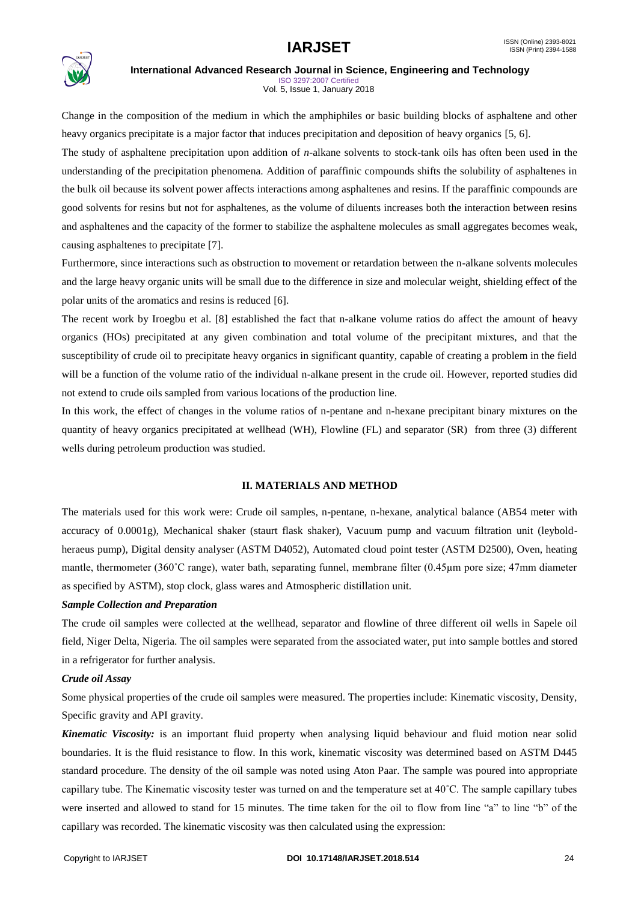

ISO 3297:2007 Certified Vol. 5, Issue 1, January 2018

Change in the composition of the medium in which the amphiphiles or basic building blocks of asphaltene and other heavy organics precipitate is a major factor that induces precipitation and deposition of heavy organics [5, 6].

The study of asphaltene precipitation upon addition of *n-*alkane solvents to stock-tank oils has often been used in the understanding of the precipitation phenomena. Addition of paraffinic compounds shifts the solubility of asphaltenes in the bulk oil because its solvent power affects interactions among asphaltenes and resins. If the paraffinic compounds are good solvents for resins but not for asphaltenes, as the volume of diluents increases both the interaction between resins and asphaltenes and the capacity of the former to stabilize the asphaltene molecules as small aggregates becomes weak, causing asphaltenes to precipitate [7].

Furthermore, since interactions such as obstruction to movement or retardation between the n-alkane solvents molecules and the large heavy organic units will be small due to the difference in size and molecular weight, shielding effect of the polar units of the aromatics and resins is reduced [6].

The recent work by Iroegbu et al. [8] established the fact that n-alkane volume ratios do affect the amount of heavy organics (HOs) precipitated at any given combination and total volume of the precipitant mixtures, and that the susceptibility of crude oil to precipitate heavy organics in significant quantity, capable of creating a problem in the field will be a function of the volume ratio of the individual n-alkane present in the crude oil. However, reported studies did not extend to crude oils sampled from various locations of the production line.

In this work, the effect of changes in the volume ratios of n-pentane and n-hexane precipitant binary mixtures on the quantity of heavy organics precipitated at wellhead (WH), Flowline (FL) and separator (SR) from three (3) different wells during petroleum production was studied.

### **II. MATERIALS AND METHOD**

The materials used for this work were: Crude oil samples, n-pentane, n-hexane, analytical balance (AB54 meter with accuracy of 0.0001g), Mechanical shaker (staurt flask shaker), Vacuum pump and vacuum filtration unit (leyboldheraeus pump), Digital density analyser (ASTM D4052), Automated cloud point tester (ASTM D2500), Oven, heating mantle, thermometer (360˚C range), water bath, separating funnel, membrane filter (0.45µm pore size; 47mm diameter as specified by ASTM), stop clock, glass wares and Atmospheric distillation unit.

### *Sample Collection and Preparation*

The crude oil samples were collected at the wellhead, separator and flowline of three different oil wells in Sapele oil field, Niger Delta, Nigeria. The oil samples were separated from the associated water, put into sample bottles and stored in a refrigerator for further analysis.

### *Crude oil Assay*

Some physical properties of the crude oil samples were measured. The properties include: Kinematic viscosity, Density, Specific gravity and API gravity.

*Kinematic Viscosity:* is an important fluid property when analysing liquid behaviour and fluid motion near solid boundaries. It is the fluid resistance to flow. In this work, kinematic viscosity was determined based on ASTM D445 standard procedure. The density of the oil sample was noted using Aton Paar. The sample was poured into appropriate capillary tube. The Kinematic viscosity tester was turned on and the temperature set at 40˚C. The sample capillary tubes were inserted and allowed to stand for 15 minutes. The time taken for the oil to flow from line "a" to line "b" of the capillary was recorded. The kinematic viscosity was then calculated using the expression: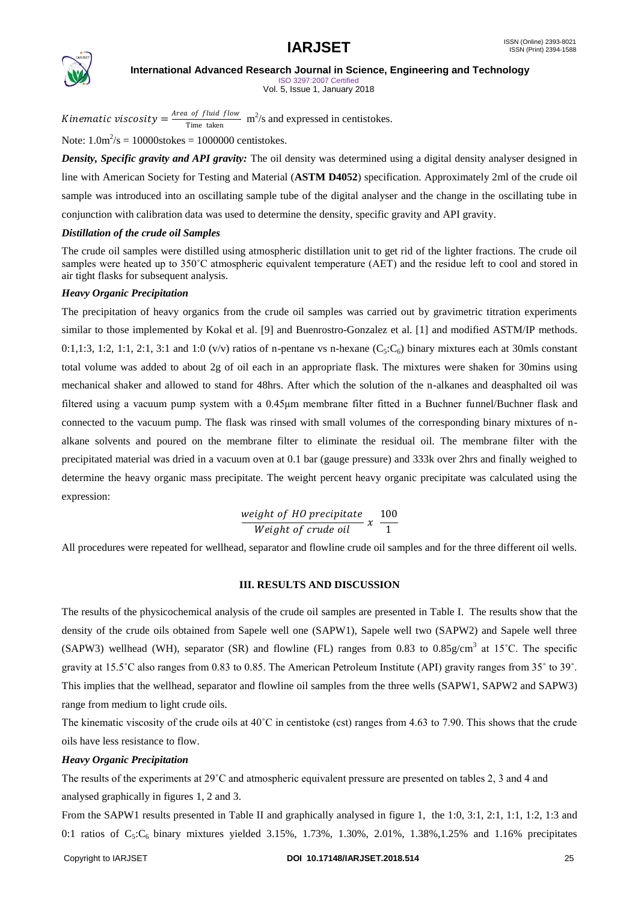

ISO 3297:2007 Certified Vol. 5, Issue 1, January 2018

Kinematic viscosity =  $\frac{Area\ of\ fluid\ flow}{Time\ time\ time}$  m<sup>2</sup>/s and expressed in centistokes. Time taken

Note:  $1.0 \text{m}^2/\text{s} = 10000 \text{stokes} = 1000000 \text{ centistokes}.$ 

*Density, Specific gravity and API gravity:* The oil density was determined using a digital density analyser designed in line with American Society for Testing and Material (**ASTM D4052**) specification. Approximately 2ml of the crude oil sample was introduced into an oscillating sample tube of the digital analyser and the change in the oscillating tube in conjunction with calibration data was used to determine the density, specific gravity and API gravity.

### *Distillation of the crude oil Samples*

The crude oil samples were distilled using atmospheric distillation unit to get rid of the lighter fractions. The crude oil samples were heated up to 350°C atmospheric equivalent temperature (AET) and the residue left to cool and stored in air tight flasks for subsequent analysis.

### *Heavy Organic Precipitation*

The precipitation of heavy organics from the crude oil samples was carried out by gravimetric titration experiments similar to those implemented by Kokal et al. [9] and Buenrostro-Gonzalez et al. [1] and modified ASTM/IP methods. 0:1,1:3, 1:2, 1:1, 2:1, 3:1 and 1:0 (v/v) ratios of n-pentane vs n-hexane (C $\zeta$ ;C<sub>6</sub>) binary mixtures each at 30mls constant total volume was added to about 2g of oil each in an appropriate flask. The mixtures were shaken for 30mins using mechanical shaker and allowed to stand for 48hrs. After which the solution of the n-alkanes and deasphalted oil was filtered using a vacuum pump system with a 0.45μm membrane filter fitted in a Buchner funnel/Buchner flask and connected to the vacuum pump. The flask was rinsed with small volumes of the corresponding binary mixtures of nalkane solvents and poured on the membrane filter to eliminate the residual oil. The membrane filter with the precipitated material was dried in a vacuum oven at 0.1 bar (gauge pressure) and 333k over 2hrs and finally weighed to determine the heavy organic mass precipitate. The weight percent heavy organic precipitate was calculated using the expression:

*weight of HO precipitate*

\n
$$
x \frac{100}{1}
$$

\n*Weight of crude oil*

All procedures were repeated for wellhead, separator and flowline crude oil samples and for the three different oil wells.

### **III. RESULTS AND DISCUSSION**

The results of the physicochemical analysis of the crude oil samples are presented in Table I. The results show that the density of the crude oils obtained from Sapele well one (SAPW1), Sapele well two (SAPW2) and Sapele well three (SAPW3) wellhead (WH), separator (SR) and flowline (FL) ranges from 0.83 to 0.85g/cm<sup>3</sup> at 15<sup>°</sup>C. The specific gravity at 15.5˚C also ranges from 0.83 to 0.85. The American Petroleum Institute (API) gravity ranges from 35˚ to 39˚. This implies that the wellhead, separator and flowline oil samples from the three wells (SAPW1, SAPW2 and SAPW3) range from medium to light crude oils.

The kinematic viscosity of the crude oils at  $40^{\circ}$ C in centistoke (cst) ranges from 4.63 to 7.90. This shows that the crude oils have less resistance to flow.

### *Heavy Organic Precipitation*

The results of the experiments at 29˚C and atmospheric equivalent pressure are presented on tables 2, 3 and 4 and analysed graphically in figures 1, 2 and 3.

From the SAPW1 results presented in Table II and graphically analysed in figure 1, the 1:0, 3:1, 2:1, 1:1, 1:2, 1:3 and 0:1 ratios of  $C_5:C_6$  binary mixtures yielded 3.15%, 1.73%, 1.30%, 2.01%, 1.38%,1.25% and 1.16% precipitates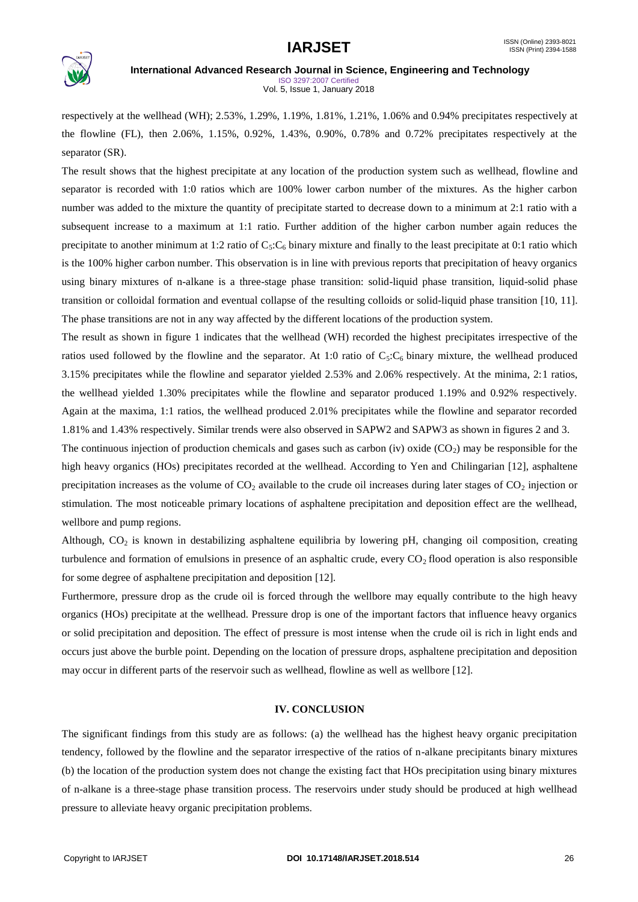

ISO 3297:2007 Certified Vol. 5, Issue 1, January 2018

respectively at the wellhead (WH); 2.53%, 1.29%, 1.19%, 1.81%, 1.21%, 1.06% and 0.94% precipitates respectively at the flowline (FL), then 2.06%, 1.15%, 0.92%, 1.43%, 0.90%, 0.78% and 0.72% precipitates respectively at the separator (SR).

The result shows that the highest precipitate at any location of the production system such as wellhead, flowline and separator is recorded with 1:0 ratios which are 100% lower carbon number of the mixtures. As the higher carbon number was added to the mixture the quantity of precipitate started to decrease down to a minimum at 2:1 ratio with a subsequent increase to a maximum at 1:1 ratio. Further addition of the higher carbon number again reduces the precipitate to another minimum at 1:2 ratio of  $C_5$ : $C_6$  binary mixture and finally to the least precipitate at 0:1 ratio which is the 100% higher carbon number. This observation is in line with previous reports that precipitation of heavy organics using binary mixtures of n-alkane is a three-stage phase transition: solid-liquid phase transition, liquid-solid phase transition or colloidal formation and eventual collapse of the resulting colloids or solid-liquid phase transition [10, 11]. The phase transitions are not in any way affected by the different locations of the production system.

The result as shown in figure 1 indicates that the wellhead (WH) recorded the highest precipitates irrespective of the ratios used followed by the flowline and the separator. At 1:0 ratio of  $C_5:C_6$  binary mixture, the wellhead produced 3.15% precipitates while the flowline and separator yielded 2.53% and 2.06% respectively. At the minima, 2:1 ratios, the wellhead yielded 1.30% precipitates while the flowline and separator produced 1.19% and 0.92% respectively. Again at the maxima, 1:1 ratios, the wellhead produced 2.01% precipitates while the flowline and separator recorded 1.81% and 1.43% respectively. Similar trends were also observed in SAPW2 and SAPW3 as shown in figures 2 and 3.

The continuous injection of production chemicals and gases such as carbon (iv) oxide  $(CO<sub>2</sub>)$  may be responsible for the high heavy organics (HOs) precipitates recorded at the wellhead. According to Yen and Chilingarian [12], asphaltene precipitation increases as the volume of  $CO_2$  available to the crude oil increases during later stages of  $CO_2$  injection or stimulation. The most noticeable primary locations of asphaltene precipitation and deposition effect are the wellhead, wellbore and pump regions.

Although,  $CO<sub>2</sub>$  is known in destabilizing asphaltene equilibria by lowering pH, changing oil composition, creating turbulence and formation of emulsions in presence of an asphaltic crude, every  $CO<sub>2</sub>$  flood operation is also responsible for some degree of asphaltene precipitation and deposition [12].

Furthermore, pressure drop as the crude oil is forced through the wellbore may equally contribute to the high heavy organics (HOs) precipitate at the wellhead. Pressure drop is one of the important factors that influence heavy organics or solid precipitation and deposition. The effect of pressure is most intense when the crude oil is rich in light ends and occurs just above the burble point. Depending on the location of pressure drops, asphaltene precipitation and deposition may occur in different parts of the reservoir such as wellhead, flowline as well as wellbore [12].

### **IV. CONCLUSION**

The significant findings from this study are as follows: (a) the wellhead has the highest heavy organic precipitation tendency, followed by the flowline and the separator irrespective of the ratios of n-alkane precipitants binary mixtures (b) the location of the production system does not change the existing fact that HOs precipitation using binary mixtures of n-alkane is a three-stage phase transition process. The reservoirs under study should be produced at high wellhead pressure to alleviate heavy organic precipitation problems.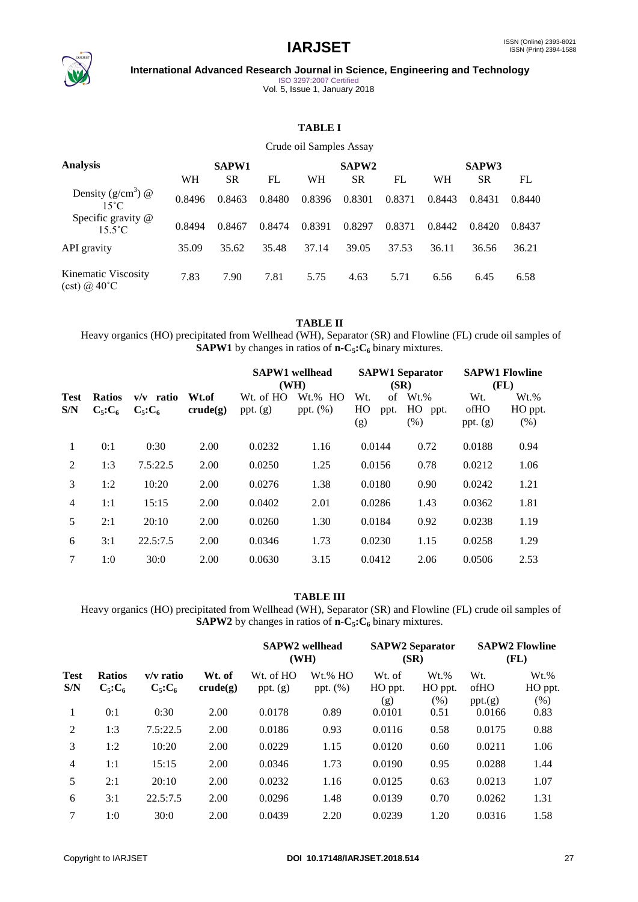

ISO 3297:2007 Certified Vol. 5, Issue 1, January 2018

## **TABLE I**

Crude oil Samples Assay

| <b>Analysis</b>                        | <b>SAPW1</b> |           |        |        | SAPW <sub>2</sub> |        | <b>SAPW3</b> |           |        |
|----------------------------------------|--------------|-----------|--------|--------|-------------------|--------|--------------|-----------|--------|
|                                        | WH           | <b>SR</b> | FL     | WН     | <b>SR</b>         | FL     | WH           | <b>SR</b> | FL     |
| Density $(g/cm^3)$ @<br>$15^{\circ}$ C | 0.8496       | 0.8463    | 0.8480 | 0.8396 | 0.8301            | 0.8371 | 0.8443       | 0.8431    | 0.8440 |
| Specific gravity @<br>$15.5^{\circ}$ C | 0.8494       | 0.8467    | 0.8474 | 0.8391 | 0.8297            | 0.8371 | 0.8442       | 0.8420    | 0.8437 |
| API gravity                            | 35.09        | 35.62     | 35.48  | 37.14  | 39.05             | 37.53  | 36.11        | 36.56     | 36.21  |
| Kinematic Viscosity<br>$(cst)$ @ 40°C  | 7.83         | 7.90      | 7.81   | 5.75   | 4.63              | 5.71   | 6.56         | 6.45      | 6.58   |

### **TABLE II**

Heavy organics (HO) precipitated from Wellhead (WH), Separator (SR) and Flowline (FL) crude oil samples of **SAPW1** by changes in ratios of **n-C5:C<sup>6</sup>** binary mixtures.

|                |                                |                              |                   | <b>SAPW1</b> wellhead<br>(WH) | <b>SAPW1 Separator</b><br>(SR) |                  |            | <b>SAPW1 Flowline</b><br>(FL) |                           |                            |
|----------------|--------------------------------|------------------------------|-------------------|-------------------------------|--------------------------------|------------------|------------|-------------------------------|---------------------------|----------------------------|
| Test<br>S/N    | <b>Ratios</b><br>$C_5$ : $C_6$ | $v/v$ ratio<br>$C_5$ : $C_6$ | Wt.of<br>crude(g) | Wt. of HO<br>ppt. $(g)$       | $Wt.$ % HO<br>ppt. $(\%)$      | Wt.<br>HO<br>(g) | of<br>ppt. | $Wt.$ %<br>HO<br>ppt.<br>(% ) | Wt.<br>ofHO<br>ppt. $(g)$ | $Wt.$ %<br>HO ppt.<br>(% ) |
| 1              | 0:1                            | 0:30                         | 2.00              | 0.0232                        | 1.16                           | 0.0144           |            | 0.72                          | 0.0188                    | 0.94                       |
| $\overline{2}$ | 1:3                            | 7.5:22.5                     | 2.00              | 0.0250                        | 1.25                           | 0.0156           |            | 0.78                          | 0.0212                    | 1.06                       |
| 3              | 1:2                            | 10:20                        | 2.00              | 0.0276                        | 1.38                           | 0.0180           |            | 0.90                          | 0.0242                    | 1.21                       |
| $\overline{4}$ | 1:1                            | 15:15                        | 2.00              | 0.0402                        | 2.01                           | 0.0286           |            | 1.43                          | 0.0362                    | 1.81                       |
| 5              | 2:1                            | 20:10                        | 2.00              | 0.0260                        | 1.30                           | 0.0184           |            | 0.92                          | 0.0238                    | 1.19                       |
| 6              | 3:1                            | 22.5:7.5                     | 2.00              | 0.0346                        | 1.73                           | 0.0230           |            | 1.15                          | 0.0258                    | 1.29                       |
| 7              | 1:0                            | 30:0                         | 2.00              | 0.0630                        | 3.15                           | 0.0412           |            | 2.06                          | 0.0506                    | 2.53                       |

**TABLE III**

Heavy organics (HO) precipitated from Wellhead (WH), Separator (SR) and Flowline (FL) crude oil samples of **SAPW2** by changes in ratios of **n-C5:C<sup>6</sup>** binary mixtures.

|                |                                |                              | <b>SAPW2</b> wellhead<br>(WH) |                         |                        | <b>SAPW2 Separator</b><br>(SR) | <b>SAPW2 Flowline</b><br>(FL) |                        |                            |
|----------------|--------------------------------|------------------------------|-------------------------------|-------------------------|------------------------|--------------------------------|-------------------------------|------------------------|----------------------------|
| Test<br>S/N    | <b>Ratios</b><br>$C_5$ : $C_6$ | $v/v$ ratio<br>$C_5$ : $C_6$ | Wt. of<br>crude(g)            | Wt. of HO<br>ppt. $(g)$ | Wt.% HO<br>ppt. $(\%)$ | Wt. of<br>HO ppt.<br>(g)       | $Wt.$ %<br>HO ppt.<br>(% )    | Wt.<br>ofHO<br>ppt.(g) | $Wt.$ %<br>HO ppt.<br>(% ) |
| 1              | 0:1                            | 0:30                         | 2.00                          | 0.0178                  | 0.89                   | 0.0101                         | 0.51                          | 0.0166                 | 0.83                       |
| $\overline{2}$ | 1:3                            | 7.5:22.5                     | 2.00                          | 0.0186                  | 0.93                   | 0.0116                         | 0.58                          | 0.0175                 | 0.88                       |
| 3              | 1:2                            | 10:20                        | 2.00                          | 0.0229                  | 1.15                   | 0.0120                         | 0.60                          | 0.0211                 | 1.06                       |
| 4              | 1:1                            | 15:15                        | 2.00                          | 0.0346                  | 1.73                   | 0.0190                         | 0.95                          | 0.0288                 | 1.44                       |
| 5              | 2:1                            | 20:10                        | 2.00                          | 0.0232                  | 1.16                   | 0.0125                         | 0.63                          | 0.0213                 | 1.07                       |
| 6              | 3:1                            | 22.5:7.5                     | 2.00                          | 0.0296                  | 1.48                   | 0.0139                         | 0.70                          | 0.0262                 | 1.31                       |
| 7              | 1:0                            | 30:0                         | 2.00                          | 0.0439                  | 2.20                   | 0.0239                         | 1.20                          | 0.0316                 | 1.58                       |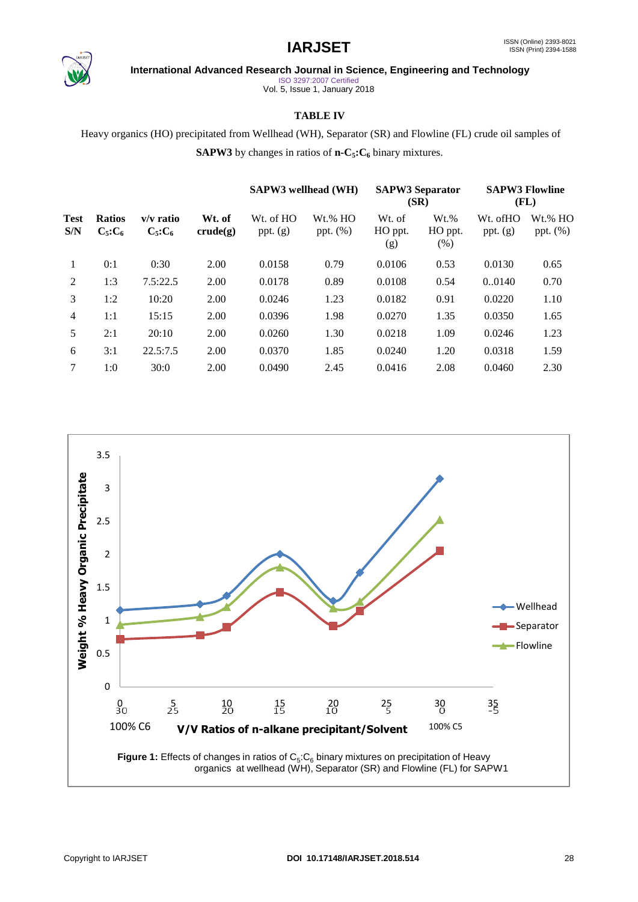

ISO 3297:2007 Certified

Vol. 5, Issue 1, January 2018

### **TABLE IV**

Heavy organics (HO) precipitated from Wellhead (WH), Separator (SR) and Flowline (FL) crude oil samples of **SAPW3** by changes in ratios of **n-C5:C<sup>6</sup>** binary mixtures.

| Test<br><b>Ratios</b><br>$C_5$ : $C_6$<br>S/N |     |                            | <b>SAPW3</b> wellhead (WH) |                         | <b>SAPW3 Separator</b><br>(SR) |                          | <b>SAPW3 Flowline</b><br>(FL) |                        |                        |
|-----------------------------------------------|-----|----------------------------|----------------------------|-------------------------|--------------------------------|--------------------------|-------------------------------|------------------------|------------------------|
|                                               |     | v/v ratio<br>$C_5$ : $C_6$ | Wt. of<br>crude(g)         | Wt. of HO<br>ppt. $(g)$ | $Wt.$ % HO<br>ppt. $(\%)$      | Wt. of<br>HO ppt.<br>(g) | $Wt.$ %<br>HO ppt.<br>$(\%)$  | Wt. ofHO<br>ppt. $(g)$ | Wt.% HO<br>ppt. $(\%)$ |
| 1                                             | 0:1 | 0:30                       | 2.00                       | 0.0158                  | 0.79                           | 0.0106                   | 0.53                          | 0.0130                 | 0.65                   |
| 2                                             | 1:3 | 7.5:22.5                   | 2.00                       | 0.0178                  | 0.89                           | 0.0108                   | 0.54                          | 0.0140                 | 0.70                   |
| 3                                             | 1:2 | 10:20                      | 2.00                       | 0.0246                  | 1.23                           | 0.0182                   | 0.91                          | 0.0220                 | 1.10                   |
| $\overline{4}$                                | 1:1 | 15:15                      | 2.00                       | 0.0396                  | 1.98                           | 0.0270                   | 1.35                          | 0.0350                 | 1.65                   |
| 5                                             | 2:1 | 20:10                      | 2.00                       | 0.0260                  | 1.30                           | 0.0218                   | 1.09                          | 0.0246                 | 1.23                   |
| 6                                             | 3:1 | 22.5:7.5                   | 2.00                       | 0.0370                  | 1.85                           | 0.0240                   | 1.20                          | 0.0318                 | 1.59                   |
| 7                                             | 1:0 | 30:0                       | 2.00                       | 0.0490                  | 2.45                           | 0.0416                   | 2.08                          | 0.0460                 | 2.30                   |

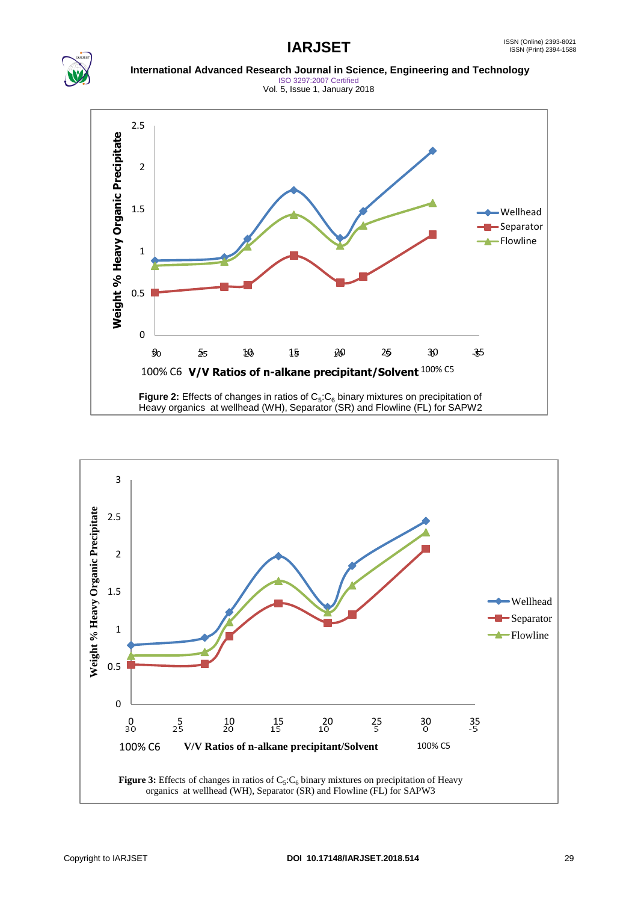### **IARJSET** ISSN (Online) 2393-8021 ISSN (Print) 2394-1588



 **International Advanced Research Journal in Science, Engineering and Technology** ISO 3297:2007 Certified

Vol. 5, Issue 1, January 2018